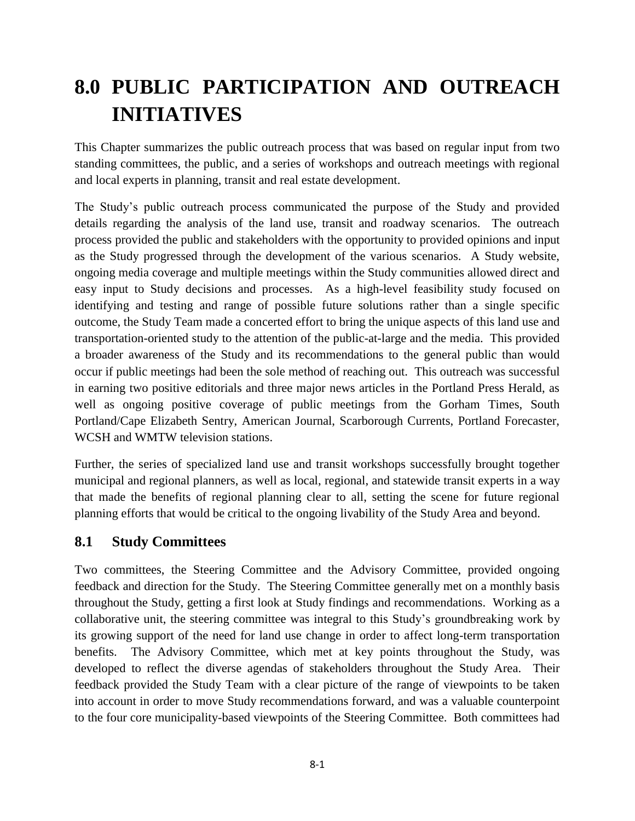# **8.0 PUBLIC PARTICIPATION AND OUTREACH INITIATIVES**

This Chapter summarizes the public outreach process that was based on regular input from two standing committees, the public, and a series of workshops and outreach meetings with regional and local experts in planning, transit and real estate development.

The Study's public outreach process communicated the purpose of the Study and provided details regarding the analysis of the land use, transit and roadway scenarios. The outreach process provided the public and stakeholders with the opportunity to provided opinions and input as the Study progressed through the development of the various scenarios. A Study website, ongoing media coverage and multiple meetings within the Study communities allowed direct and easy input to Study decisions and processes. As a high-level feasibility study focused on identifying and testing and range of possible future solutions rather than a single specific outcome, the Study Team made a concerted effort to bring the unique aspects of this land use and transportation-oriented study to the attention of the public-at-large and the media. This provided a broader awareness of the Study and its recommendations to the general public than would occur if public meetings had been the sole method of reaching out. This outreach was successful in earning two positive editorials and three major news articles in the Portland Press Herald, as well as ongoing positive coverage of public meetings from the Gorham Times, South Portland/Cape Elizabeth Sentry, American Journal, Scarborough Currents, Portland Forecaster, WCSH and WMTW television stations.

Further, the series of specialized land use and transit workshops successfully brought together municipal and regional planners, as well as local, regional, and statewide transit experts in a way that made the benefits of regional planning clear to all, setting the scene for future regional planning efforts that would be critical to the ongoing livability of the Study Area and beyond.

# **8.1 Study Committees**

Two committees, the Steering Committee and the Advisory Committee, provided ongoing feedback and direction for the Study. The Steering Committee generally met on a monthly basis throughout the Study, getting a first look at Study findings and recommendations. Working as a collaborative unit, the steering committee was integral to this Study's groundbreaking work by its growing support of the need for land use change in order to affect long-term transportation benefits. The Advisory Committee, which met at key points throughout the Study, was developed to reflect the diverse agendas of stakeholders throughout the Study Area. Their feedback provided the Study Team with a clear picture of the range of viewpoints to be taken into account in order to move Study recommendations forward, and was a valuable counterpoint to the four core municipality-based viewpoints of the Steering Committee. Both committees had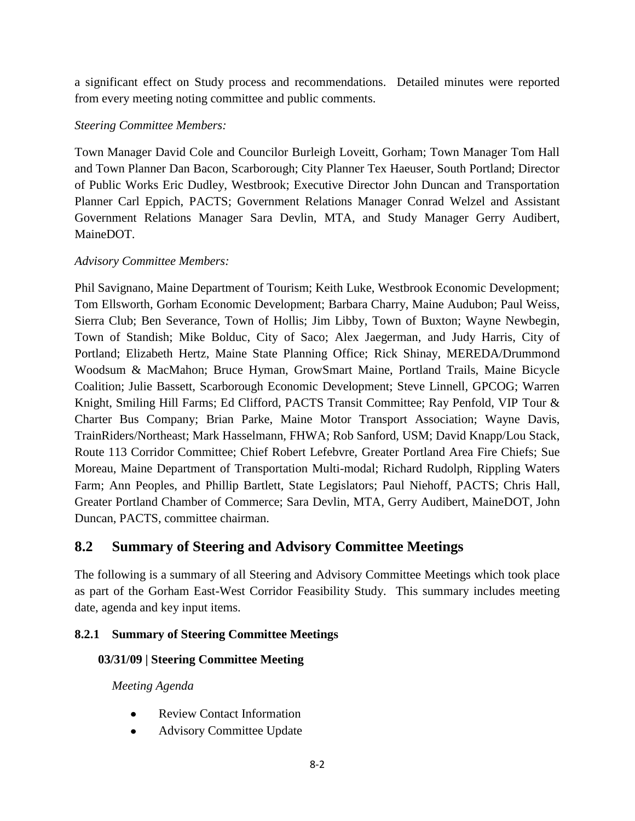a significant effect on Study process and recommendations. Detailed minutes were reported from every meeting noting committee and public comments.

## *Steering Committee Members:*

Town Manager David Cole and Councilor Burleigh Loveitt, Gorham; Town Manager Tom Hall and Town Planner Dan Bacon, Scarborough; City Planner Tex Haeuser, South Portland; Director of Public Works Eric Dudley, Westbrook; Executive Director John Duncan and Transportation Planner Carl Eppich, PACTS; Government Relations Manager Conrad Welzel and Assistant Government Relations Manager Sara Devlin, MTA, and Study Manager Gerry Audibert, MaineDOT.

## *Advisory Committee Members:*

Phil Savignano, Maine Department of Tourism; Keith Luke, Westbrook Economic Development; Tom Ellsworth, Gorham Economic Development; Barbara Charry, Maine Audubon; Paul Weiss, Sierra Club; Ben Severance, Town of Hollis; Jim Libby, Town of Buxton; Wayne Newbegin, Town of Standish; Mike Bolduc, City of Saco; Alex Jaegerman, and Judy Harris, City of Portland; Elizabeth Hertz, Maine State Planning Office; Rick Shinay, MEREDA/Drummond Woodsum & MacMahon; Bruce Hyman, GrowSmart Maine, Portland Trails, Maine Bicycle Coalition; Julie Bassett, Scarborough Economic Development; Steve Linnell, GPCOG; Warren Knight, Smiling Hill Farms; Ed Clifford, PACTS Transit Committee; Ray Penfold, VIP Tour & Charter Bus Company; Brian Parke, Maine Motor Transport Association; Wayne Davis, TrainRiders/Northeast; Mark Hasselmann, FHWA; Rob Sanford, USM; David Knapp/Lou Stack, Route 113 Corridor Committee; Chief Robert Lefebvre, Greater Portland Area Fire Chiefs; Sue Moreau, Maine Department of Transportation Multi-modal; Richard Rudolph, Rippling Waters Farm; Ann Peoples, and Phillip Bartlett, State Legislators; Paul Niehoff, PACTS; Chris Hall, Greater Portland Chamber of Commerce; Sara Devlin, MTA, Gerry Audibert, MaineDOT, John Duncan, PACTS, committee chairman.

# **8.2 Summary of Steering and Advisory Committee Meetings**

The following is a summary of all Steering and Advisory Committee Meetings which took place as part of the Gorham East-West Corridor Feasibility Study. This summary includes meeting date, agenda and key input items.

# **8.2.1 Summary of Steering Committee Meetings**

#### **03/31/09 | Steering Committee Meeting**

- Review Contact Information
- Advisory Committee Update $\bullet$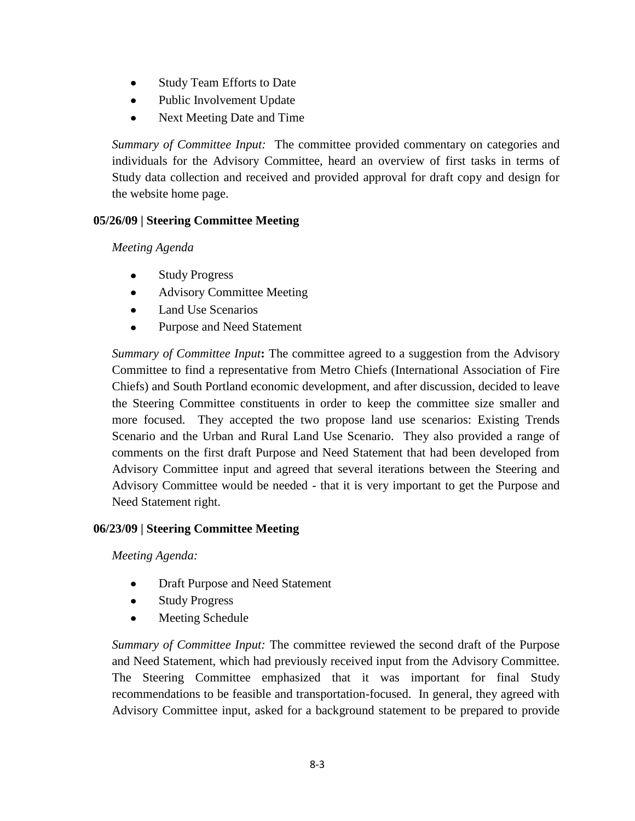- Study Team Efforts to Date  $\bullet$
- Public Involvement Update  $\bullet$
- Next Meeting Date and Time

*Summary of Committee Input:* The committee provided commentary on categories and individuals for the Advisory Committee, heard an overview of first tasks in terms of Study data collection and received and provided approval for draft copy and design for the website home page.

#### **05/26/09 | Steering Committee Meeting**

*Meeting Agenda*

- Study Progress
- Advisory Committee Meeting  $\bullet$
- Land Use Scenarios  $\bullet$
- $\bullet$ Purpose and Need Statement

*Summary of Committee Input***:** The committee agreed to a suggestion from the Advisory Committee to find a representative from Metro Chiefs (International Association of Fire Chiefs) and South Portland economic development, and after discussion, decided to leave the Steering Committee constituents in order to keep the committee size smaller and more focused. They accepted the two propose land use scenarios: Existing Trends Scenario and the Urban and Rural Land Use Scenario. They also provided a range of comments on the first draft Purpose and Need Statement that had been developed from Advisory Committee input and agreed that several iterations between the Steering and Advisory Committee would be needed - that it is very important to get the Purpose and Need Statement right.

#### **06/23/09 | Steering Committee Meeting**

*Meeting Agenda:*

- $\bullet$ Draft Purpose and Need Statement
- Study Progress  $\bullet$
- Meeting Schedule  $\bullet$

*Summary of Committee Input:* The committee reviewed the second draft of the Purpose and Need Statement, which had previously received input from the Advisory Committee. The Steering Committee emphasized that it was important for final Study recommendations to be feasible and transportation-focused. In general, they agreed with Advisory Committee input, asked for a background statement to be prepared to provide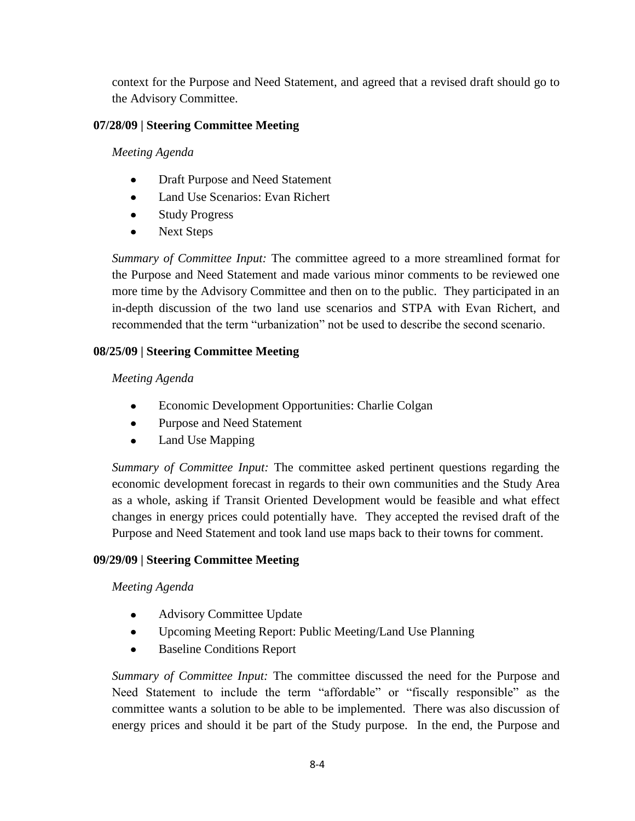context for the Purpose and Need Statement, and agreed that a revised draft should go to the Advisory Committee.

## **07/28/09 | Steering Committee Meeting**

## *Meeting Agenda*

- Draft Purpose and Need Statement  $\bullet$
- Land Use Scenarios: Evan Richert
- $\bullet$ Study Progress
- Next Steps  $\bullet$

*Summary of Committee Input:* The committee agreed to a more streamlined format for the Purpose and Need Statement and made various minor comments to be reviewed one more time by the Advisory Committee and then on to the public. They participated in an in-depth discussion of the two land use scenarios and STPA with Evan Richert, and recommended that the term "urbanization" not be used to describe the second scenario.

# **08/25/09 | Steering Committee Meeting**

# *Meeting Agenda*

- Economic Development Opportunities: Charlie Colgan  $\bullet$
- $\bullet$ Purpose and Need Statement
- Land Use Mapping  $\bullet$

*Summary of Committee Input:* The committee asked pertinent questions regarding the economic development forecast in regards to their own communities and the Study Area as a whole, asking if Transit Oriented Development would be feasible and what effect changes in energy prices could potentially have. They accepted the revised draft of the Purpose and Need Statement and took land use maps back to their towns for comment.

# **09/29/09 | Steering Committee Meeting**

# *Meeting Agenda*

- $\bullet$ Advisory Committee Update
- $\bullet$ Upcoming Meeting Report: Public Meeting/Land Use Planning
- Baseline Conditions Report

*Summary of Committee Input:* The committee discussed the need for the Purpose and Need Statement to include the term "affordable" or "fiscally responsible" as the committee wants a solution to be able to be implemented. There was also discussion of energy prices and should it be part of the Study purpose. In the end, the Purpose and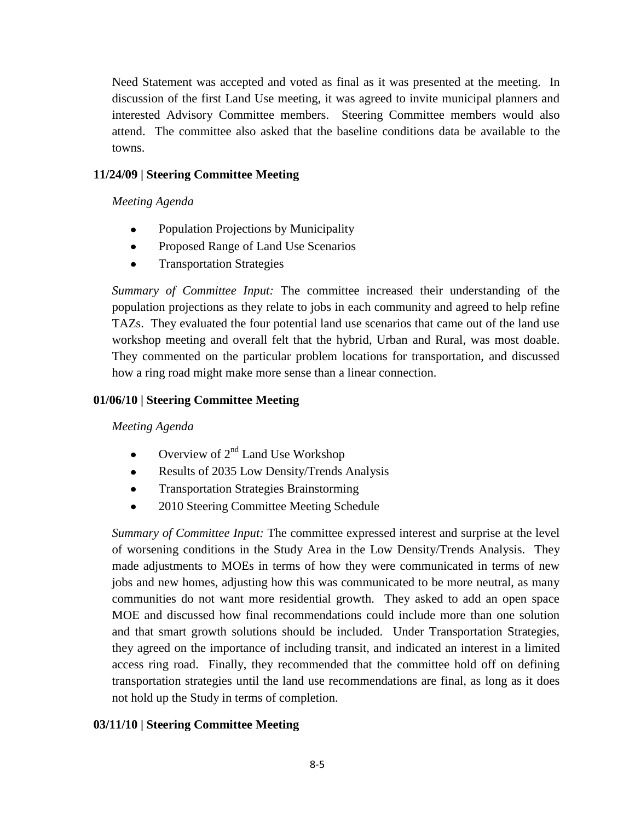Need Statement was accepted and voted as final as it was presented at the meeting. In discussion of the first Land Use meeting, it was agreed to invite municipal planners and interested Advisory Committee members. Steering Committee members would also attend. The committee also asked that the baseline conditions data be available to the towns.

## **11/24/09 | Steering Committee Meeting**

*Meeting Agenda*

- $\bullet$ Population Projections by Municipality
- Proposed Range of Land Use Scenarios  $\bullet$
- Transportation Strategies  $\bullet$

*Summary of Committee Input:* The committee increased their understanding of the population projections as they relate to jobs in each community and agreed to help refine TAZs. They evaluated the four potential land use scenarios that came out of the land use workshop meeting and overall felt that the hybrid, Urban and Rural, was most doable. They commented on the particular problem locations for transportation, and discussed how a ring road might make more sense than a linear connection.

#### **01/06/10 | Steering Committee Meeting**

*Meeting Agenda*

- Overview of  $2^{nd}$  Land Use Workshop  $\bullet$
- Results of 2035 Low Density/Trends Analysis  $\bullet$
- $\bullet$ Transportation Strategies Brainstorming
- 2010 Steering Committee Meeting Schedule  $\bullet$

*Summary of Committee Input:* The committee expressed interest and surprise at the level of worsening conditions in the Study Area in the Low Density/Trends Analysis. They made adjustments to MOEs in terms of how they were communicated in terms of new jobs and new homes, adjusting how this was communicated to be more neutral, as many communities do not want more residential growth. They asked to add an open space MOE and discussed how final recommendations could include more than one solution and that smart growth solutions should be included. Under Transportation Strategies, they agreed on the importance of including transit, and indicated an interest in a limited access ring road. Finally, they recommended that the committee hold off on defining transportation strategies until the land use recommendations are final, as long as it does not hold up the Study in terms of completion.

#### **03/11/10 | Steering Committee Meeting**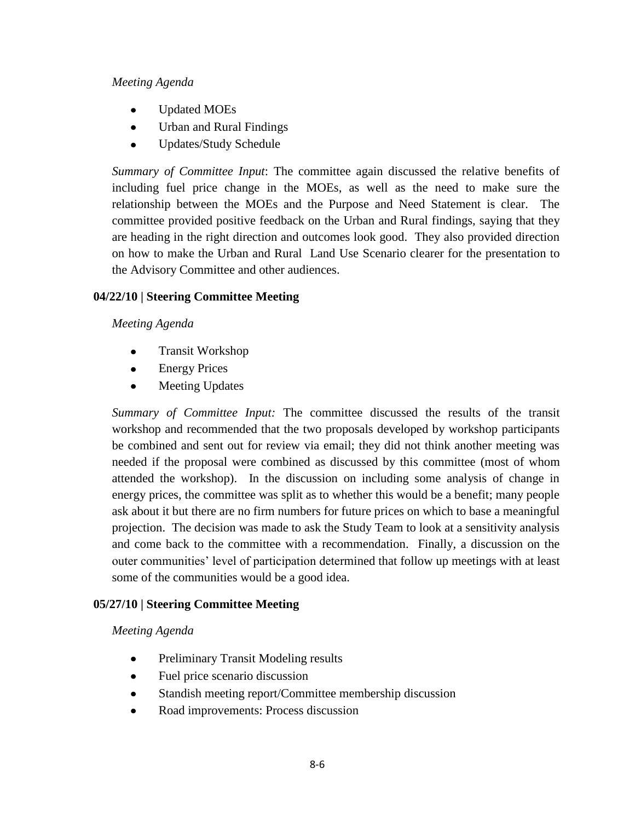#### *Meeting Agenda*

- Updated MOEs  $\bullet$
- $\bullet$ Urban and Rural Findings
- $\bullet$ Updates/Study Schedule

*Summary of Committee Input*: The committee again discussed the relative benefits of including fuel price change in the MOEs, as well as the need to make sure the relationship between the MOEs and the Purpose and Need Statement is clear. The committee provided positive feedback on the Urban and Rural findings, saying that they are heading in the right direction and outcomes look good. They also provided direction on how to make the Urban and Rural Land Use Scenario clearer for the presentation to the Advisory Committee and other audiences.

## **04/22/10 | Steering Committee Meeting**

## *Meeting Agenda*

- Transit Workshop  $\bullet$
- $\bullet$ Energy Prices
- $\bullet$ Meeting Updates

*Summary of Committee Input:* The committee discussed the results of the transit workshop and recommended that the two proposals developed by workshop participants be combined and sent out for review via email; they did not think another meeting was needed if the proposal were combined as discussed by this committee (most of whom attended the workshop). In the discussion on including some analysis of change in energy prices, the committee was split as to whether this would be a benefit; many people ask about it but there are no firm numbers for future prices on which to base a meaningful projection. The decision was made to ask the Study Team to look at a sensitivity analysis and come back to the committee with a recommendation. Finally, a discussion on the outer communities' level of participation determined that follow up meetings with at least some of the communities would be a good idea.

# **05/27/10 | Steering Committee Meeting**

- Preliminary Transit Modeling results  $\bullet$
- $\bullet$ Fuel price scenario discussion
- Standish meeting report/Committee membership discussion
- Road improvements: Process discussion $\bullet$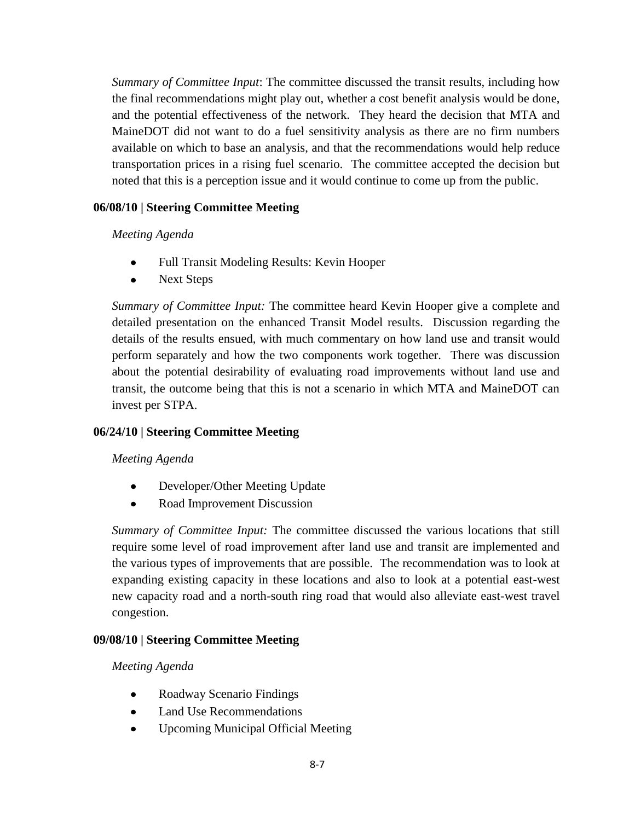*Summary of Committee Input*: The committee discussed the transit results, including how the final recommendations might play out, whether a cost benefit analysis would be done, and the potential effectiveness of the network. They heard the decision that MTA and MaineDOT did not want to do a fuel sensitivity analysis as there are no firm numbers available on which to base an analysis, and that the recommendations would help reduce transportation prices in a rising fuel scenario. The committee accepted the decision but noted that this is a perception issue and it would continue to come up from the public.

#### **06/08/10 | Steering Committee Meeting**

#### *Meeting Agenda*

- Full Transit Modeling Results: Kevin Hooper
- $\bullet$ Next Steps

*Summary of Committee Input:* The committee heard Kevin Hooper give a complete and detailed presentation on the enhanced Transit Model results. Discussion regarding the details of the results ensued, with much commentary on how land use and transit would perform separately and how the two components work together. There was discussion about the potential desirability of evaluating road improvements without land use and transit, the outcome being that this is not a scenario in which MTA and MaineDOT can invest per STPA.

#### **06/24/10 | Steering Committee Meeting**

#### *Meeting Agenda*

- Developer/Other Meeting Update  $\bullet$
- Road Improvement Discussion  $\bullet$

*Summary of Committee Input:* The committee discussed the various locations that still require some level of road improvement after land use and transit are implemented and the various types of improvements that are possible. The recommendation was to look at expanding existing capacity in these locations and also to look at a potential east-west new capacity road and a north-south ring road that would also alleviate east-west travel congestion.

#### **09/08/10 | Steering Committee Meeting**

- $\bullet$ Roadway Scenario Findings
- Land Use Recommendations
- Upcoming Municipal Official Meeting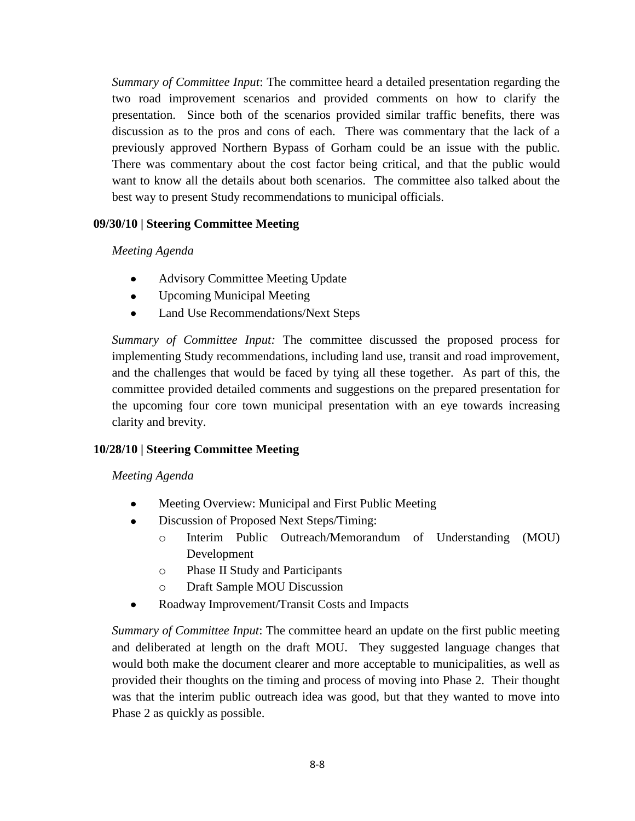*Summary of Committee Input*: The committee heard a detailed presentation regarding the two road improvement scenarios and provided comments on how to clarify the presentation. Since both of the scenarios provided similar traffic benefits, there was discussion as to the pros and cons of each. There was commentary that the lack of a previously approved Northern Bypass of Gorham could be an issue with the public. There was commentary about the cost factor being critical, and that the public would want to know all the details about both scenarios. The committee also talked about the best way to present Study recommendations to municipal officials.

#### **09/30/10 | Steering Committee Meeting**

*Meeting Agenda*

- Advisory Committee Meeting Update
- $\bullet$ Upcoming Municipal Meeting
- $\bullet$ Land Use Recommendations/Next Steps

*Summary of Committee Input:* The committee discussed the proposed process for implementing Study recommendations, including land use, transit and road improvement, and the challenges that would be faced by tying all these together. As part of this, the committee provided detailed comments and suggestions on the prepared presentation for the upcoming four core town municipal presentation with an eye towards increasing clarity and brevity.

# **10/28/10 | Steering Committee Meeting**

*Meeting Agenda*

- Meeting Overview: Municipal and First Public Meeting
- Discussion of Proposed Next Steps/Timing:  $\bullet$ 
	- o Interim Public Outreach/Memorandum of Understanding (MOU) Development
	- o Phase II Study and Participants
	- o Draft Sample MOU Discussion
- Roadway Improvement/Transit Costs and Impacts

*Summary of Committee Input*: The committee heard an update on the first public meeting and deliberated at length on the draft MOU. They suggested language changes that would both make the document clearer and more acceptable to municipalities, as well as provided their thoughts on the timing and process of moving into Phase 2. Their thought was that the interim public outreach idea was good, but that they wanted to move into Phase 2 as quickly as possible.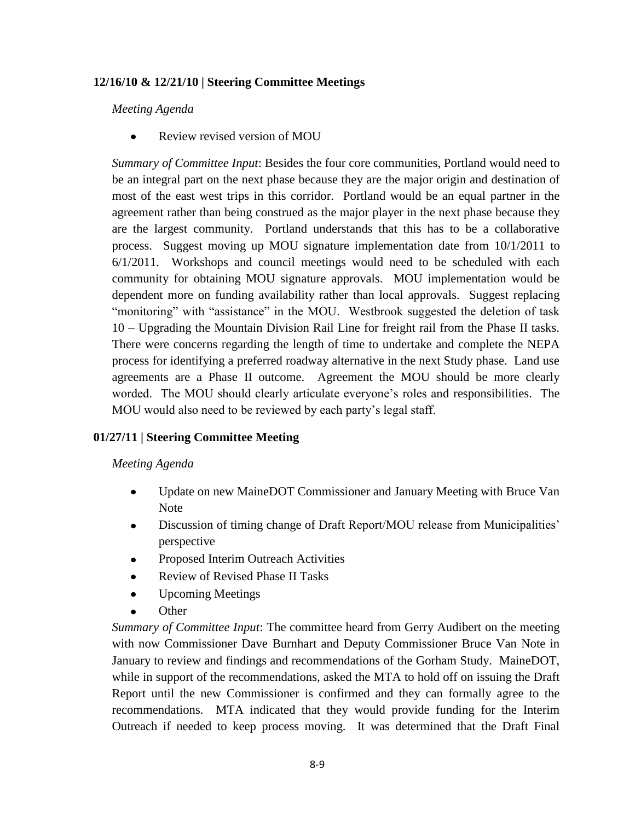## **12/16/10 & 12/21/10 | Steering Committee Meetings**

#### *Meeting Agenda*

Review revised version of MOU

*Summary of Committee Input*: Besides the four core communities, Portland would need to be an integral part on the next phase because they are the major origin and destination of most of the east west trips in this corridor. Portland would be an equal partner in the agreement rather than being construed as the major player in the next phase because they are the largest community. Portland understands that this has to be a collaborative process. Suggest moving up MOU signature implementation date from 10/1/2011 to 6/1/2011. Workshops and council meetings would need to be scheduled with each community for obtaining MOU signature approvals. MOU implementation would be dependent more on funding availability rather than local approvals. Suggest replacing "monitoring" with "assistance" in the MOU. Westbrook suggested the deletion of task 10 – Upgrading the Mountain Division Rail Line for freight rail from the Phase II tasks. There were concerns regarding the length of time to undertake and complete the NEPA process for identifying a preferred roadway alternative in the next Study phase. Land use agreements are a Phase II outcome. Agreement the MOU should be more clearly worded. The MOU should clearly articulate everyone's roles and responsibilities. The MOU would also need to be reviewed by each party's legal staff.

# **01/27/11 | Steering Committee Meeting**

#### *Meeting Agenda*

- Update on new MaineDOT Commissioner and January Meeting with Bruce Van  $\bullet$ Note
- Discussion of timing change of Draft Report/MOU release from Municipalities' perspective
- Proposed Interim Outreach Activities
- Review of Revised Phase II Tasks  $\bullet$
- Upcoming Meetings
- **Other**

*Summary of Committee Input*: The committee heard from Gerry Audibert on the meeting with now Commissioner Dave Burnhart and Deputy Commissioner Bruce Van Note in January to review and findings and recommendations of the Gorham Study. MaineDOT, while in support of the recommendations, asked the MTA to hold off on issuing the Draft Report until the new Commissioner is confirmed and they can formally agree to the recommendations. MTA indicated that they would provide funding for the Interim Outreach if needed to keep process moving. It was determined that the Draft Final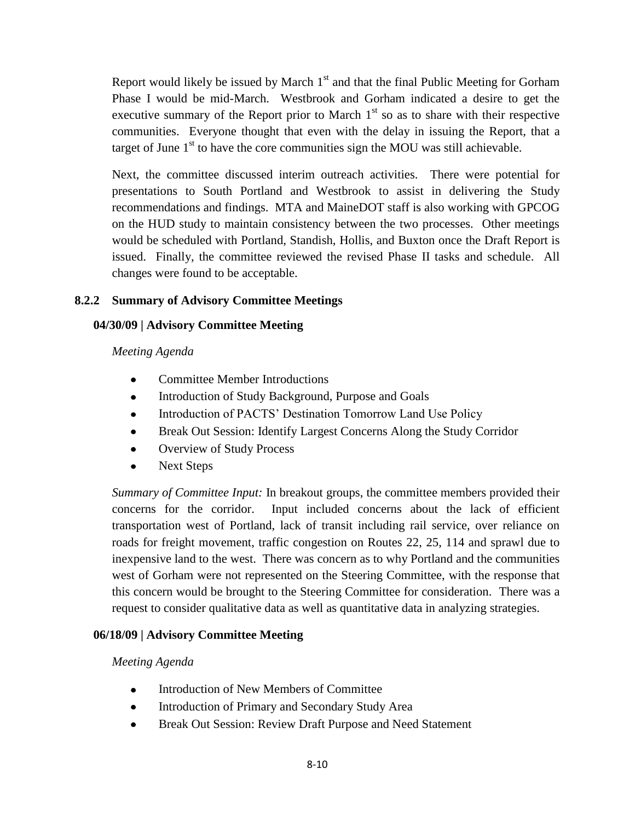Report would likely be issued by March  $1<sup>st</sup>$  and that the final Public Meeting for Gorham Phase I would be mid-March. Westbrook and Gorham indicated a desire to get the executive summary of the Report prior to March  $1<sup>st</sup>$  so as to share with their respective communities. Everyone thought that even with the delay in issuing the Report, that a target of June  $1<sup>st</sup>$  to have the core communities sign the MOU was still achievable.

Next, the committee discussed interim outreach activities. There were potential for presentations to South Portland and Westbrook to assist in delivering the Study recommendations and findings. MTA and MaineDOT staff is also working with GPCOG on the HUD study to maintain consistency between the two processes. Other meetings would be scheduled with Portland, Standish, Hollis, and Buxton once the Draft Report is issued. Finally, the committee reviewed the revised Phase II tasks and schedule. All changes were found to be acceptable.

#### **8.2.2 Summary of Advisory Committee Meetings**

## **04/30/09 | Advisory Committee Meeting**

#### *Meeting Agenda*

- Committee Member Introductions  $\bullet$
- Introduction of Study Background, Purpose and Goals
- Introduction of PACTS' Destination Tomorrow Land Use Policy  $\bullet$
- Break Out Session: Identify Largest Concerns Along the Study Corridor  $\bullet$
- Overview of Study Process
- $\bullet$ Next Steps

*Summary of Committee Input:* In breakout groups, the committee members provided their concerns for the corridor. Input included concerns about the lack of efficient transportation west of Portland, lack of transit including rail service, over reliance on roads for freight movement, traffic congestion on Routes 22, 25, 114 and sprawl due to inexpensive land to the west. There was concern as to why Portland and the communities west of Gorham were not represented on the Steering Committee, with the response that this concern would be brought to the Steering Committee for consideration. There was a request to consider qualitative data as well as quantitative data in analyzing strategies.

#### **06/18/09 | Advisory Committee Meeting**

- Introduction of New Members of Committee
- Introduction of Primary and Secondary Study Area  $\bullet$
- Break Out Session: Review Draft Purpose and Need Statement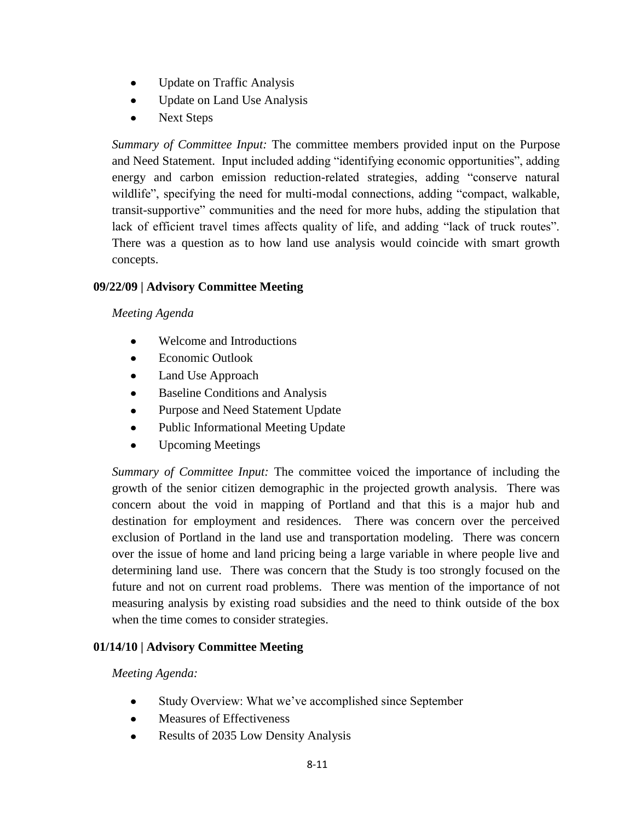- Update on Traffic Analysis  $\bullet$
- Update on Land Use Analysis  $\bullet$
- Next Steps

*Summary of Committee Input:* The committee members provided input on the Purpose and Need Statement. Input included adding "identifying economic opportunities", adding energy and carbon emission reduction-related strategies, adding "conserve natural wildlife", specifying the need for multi-modal connections, adding "compact, walkable, transit-supportive" communities and the need for more hubs, adding the stipulation that lack of efficient travel times affects quality of life, and adding "lack of truck routes". There was a question as to how land use analysis would coincide with smart growth concepts.

## **09/22/09 | Advisory Committee Meeting**

#### *Meeting Agenda*

- Welcome and Introductions
- $\bullet$ Economic Outlook
- Land Use Approach
- Baseline Conditions and Analysis  $\bullet$
- Purpose and Need Statement Update
- Public Informational Meeting Update
- Upcoming Meetings  $\bullet$

*Summary of Committee Input:* The committee voiced the importance of including the growth of the senior citizen demographic in the projected growth analysis. There was concern about the void in mapping of Portland and that this is a major hub and destination for employment and residences. There was concern over the perceived exclusion of Portland in the land use and transportation modeling. There was concern over the issue of home and land pricing being a large variable in where people live and determining land use. There was concern that the Study is too strongly focused on the future and not on current road problems. There was mention of the importance of not measuring analysis by existing road subsidies and the need to think outside of the box when the time comes to consider strategies.

# **01/14/10 | Advisory Committee Meeting**

- Study Overview: What we've accomplished since September  $\bullet$
- Measures of Effectiveness  $\bullet$
- Results of 2035 Low Density Analysis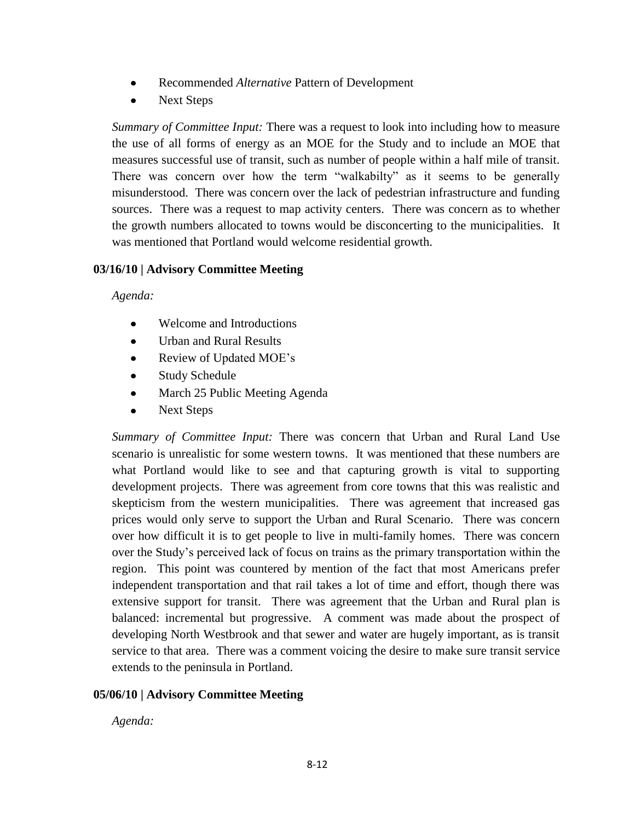- Recommended *Alternative* Pattern of Development  $\bullet$
- Next Steps  $\bullet$

*Summary of Committee Input:* There was a request to look into including how to measure the use of all forms of energy as an MOE for the Study and to include an MOE that measures successful use of transit, such as number of people within a half mile of transit. There was concern over how the term "walkabilty" as it seems to be generally misunderstood. There was concern over the lack of pedestrian infrastructure and funding sources. There was a request to map activity centers. There was concern as to whether the growth numbers allocated to towns would be disconcerting to the municipalities. It was mentioned that Portland would welcome residential growth.

## **03/16/10 | Advisory Committee Meeting**

*Agenda:*

- Welcome and Introductions
- Urban and Rural Results
- Review of Updated MOE's
- Study Schedule  $\bullet$
- March 25 Public Meeting Agenda  $\bullet$
- Next Steps

*Summary of Committee Input:* There was concern that Urban and Rural Land Use scenario is unrealistic for some western towns. It was mentioned that these numbers are what Portland would like to see and that capturing growth is vital to supporting development projects. There was agreement from core towns that this was realistic and skepticism from the western municipalities. There was agreement that increased gas prices would only serve to support the Urban and Rural Scenario. There was concern over how difficult it is to get people to live in multi-family homes. There was concern over the Study's perceived lack of focus on trains as the primary transportation within the region. This point was countered by mention of the fact that most Americans prefer independent transportation and that rail takes a lot of time and effort, though there was extensive support for transit. There was agreement that the Urban and Rural plan is balanced: incremental but progressive. A comment was made about the prospect of developing North Westbrook and that sewer and water are hugely important, as is transit service to that area. There was a comment voicing the desire to make sure transit service extends to the peninsula in Portland.

#### **05/06/10 | Advisory Committee Meeting**

*Agenda:*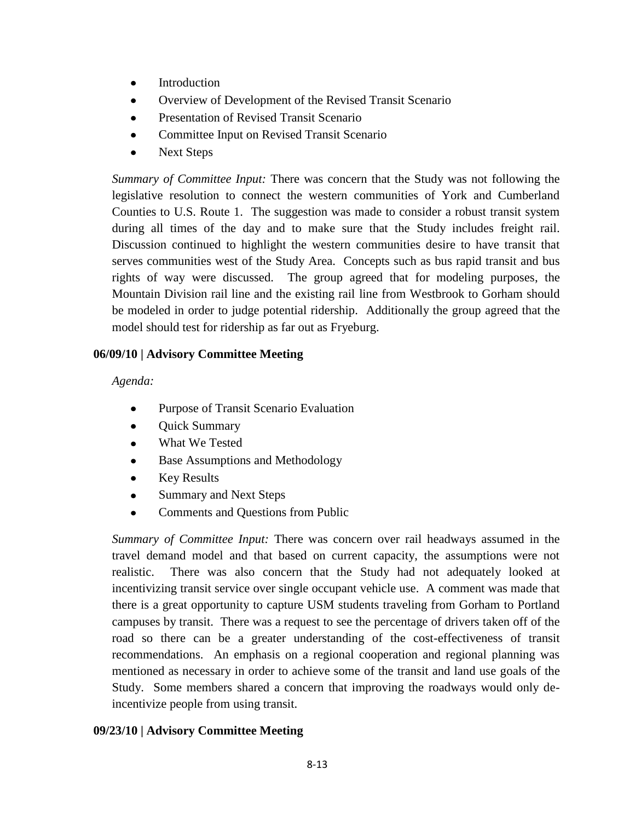- Introduction
- Overview of Development of the Revised Transit Scenario
- Presentation of Revised Transit Scenario
- Committee Input on Revised Transit Scenario
- Next Steps

*Summary of Committee Input:* There was concern that the Study was not following the legislative resolution to connect the western communities of York and Cumberland Counties to U.S. Route 1. The suggestion was made to consider a robust transit system during all times of the day and to make sure that the Study includes freight rail. Discussion continued to highlight the western communities desire to have transit that serves communities west of the Study Area. Concepts such as bus rapid transit and bus rights of way were discussed. The group agreed that for modeling purposes, the Mountain Division rail line and the existing rail line from Westbrook to Gorham should be modeled in order to judge potential ridership. Additionally the group agreed that the model should test for ridership as far out as Fryeburg.

## **06/09/10 | Advisory Committee Meeting**

*Agenda:*

- $\bullet$ Purpose of Transit Scenario Evaluation
- $\bullet$ Quick Summary
- What We Tested
- Base Assumptions and Methodology
- Key Results  $\bullet$
- Summary and Next Steps
- $\bullet$ Comments and Questions from Public

*Summary of Committee Input:* There was concern over rail headways assumed in the travel demand model and that based on current capacity, the assumptions were not realistic. There was also concern that the Study had not adequately looked at incentivizing transit service over single occupant vehicle use. A comment was made that there is a great opportunity to capture USM students traveling from Gorham to Portland campuses by transit. There was a request to see the percentage of drivers taken off of the road so there can be a greater understanding of the cost-effectiveness of transit recommendations. An emphasis on a regional cooperation and regional planning was mentioned as necessary in order to achieve some of the transit and land use goals of the Study. Some members shared a concern that improving the roadways would only deincentivize people from using transit.

# **09/23/10 | Advisory Committee Meeting**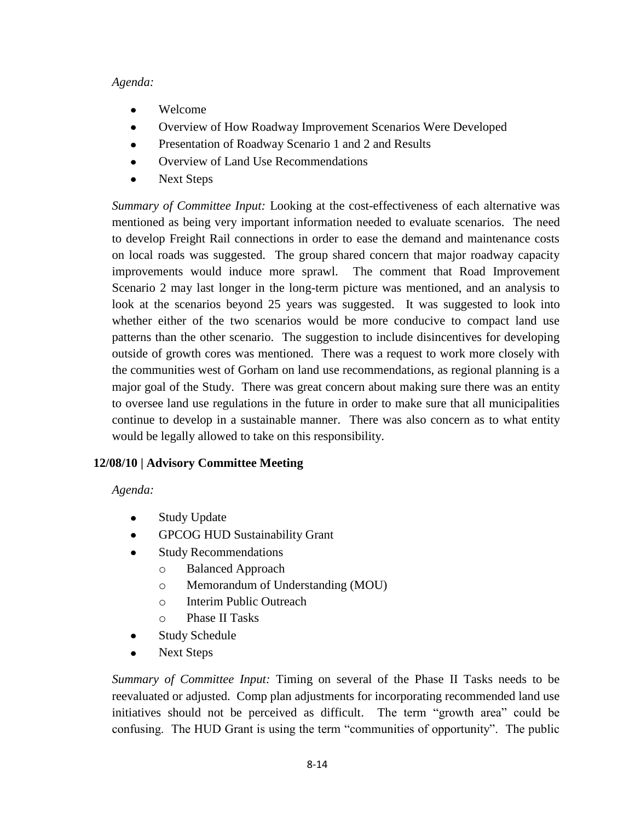#### *Agenda:*

- Welcome
- $\bullet$ Overview of How Roadway Improvement Scenarios Were Developed
- Presentation of Roadway Scenario 1 and 2 and Results  $\bullet$
- Overview of Land Use Recommendations  $\bullet$
- $\bullet$ Next Steps

*Summary of Committee Input:* Looking at the cost-effectiveness of each alternative was mentioned as being very important information needed to evaluate scenarios. The need to develop Freight Rail connections in order to ease the demand and maintenance costs on local roads was suggested. The group shared concern that major roadway capacity improvements would induce more sprawl. The comment that Road Improvement Scenario 2 may last longer in the long-term picture was mentioned, and an analysis to look at the scenarios beyond 25 years was suggested. It was suggested to look into whether either of the two scenarios would be more conducive to compact land use patterns than the other scenario. The suggestion to include disincentives for developing outside of growth cores was mentioned. There was a request to work more closely with the communities west of Gorham on land use recommendations, as regional planning is a major goal of the Study. There was great concern about making sure there was an entity to oversee land use regulations in the future in order to make sure that all municipalities continue to develop in a sustainable manner. There was also concern as to what entity would be legally allowed to take on this responsibility.

# **12/08/10 | Advisory Committee Meeting**

*Agenda:*

- Study Update
- GPCOG HUD Sustainability Grant
- Study Recommendations
	- o Balanced Approach
	- o Memorandum of Understanding (MOU)
	- o Interim Public Outreach
	- o Phase II Tasks
- Study Schedule  $\bullet$
- Next Steps

*Summary of Committee Input:* Timing on several of the Phase II Tasks needs to be reevaluated or adjusted. Comp plan adjustments for incorporating recommended land use initiatives should not be perceived as difficult. The term "growth area" could be confusing. The HUD Grant is using the term "communities of opportunity". The public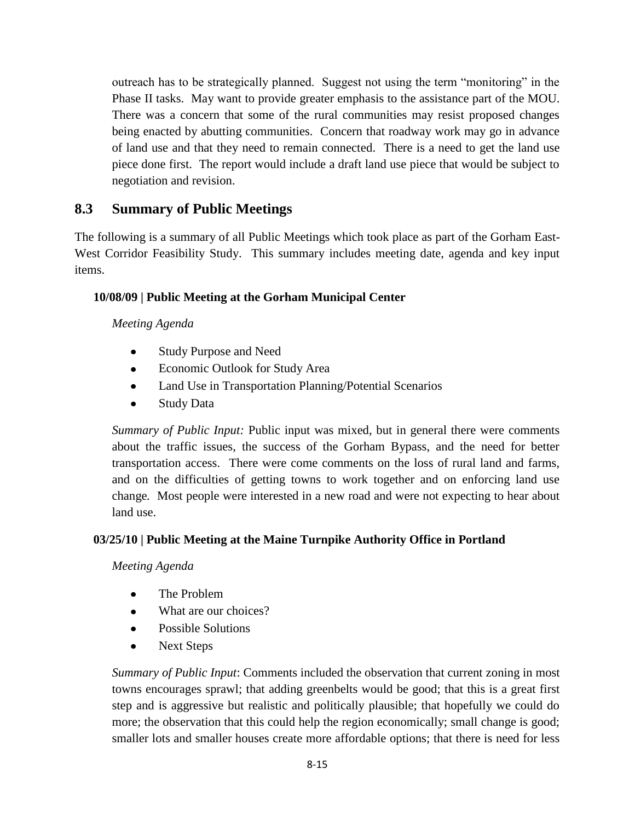outreach has to be strategically planned. Suggest not using the term "monitoring" in the Phase II tasks. May want to provide greater emphasis to the assistance part of the MOU. There was a concern that some of the rural communities may resist proposed changes being enacted by abutting communities. Concern that roadway work may go in advance of land use and that they need to remain connected. There is a need to get the land use piece done first. The report would include a draft land use piece that would be subject to negotiation and revision.

# **8.3 Summary of Public Meetings**

The following is a summary of all Public Meetings which took place as part of the Gorham East-West Corridor Feasibility Study. This summary includes meeting date, agenda and key input items.

# **10/08/09 | Public Meeting at the Gorham Municipal Center**

*Meeting Agenda*

- Study Purpose and Need  $\bullet$
- Economic Outlook for Study Area  $\bullet$
- $\bullet$ Land Use in Transportation Planning/Potential Scenarios
- $\bullet$ Study Data

*Summary of Public Input:* Public input was mixed, but in general there were comments about the traffic issues, the success of the Gorham Bypass, and the need for better transportation access. There were come comments on the loss of rural land and farms, and on the difficulties of getting towns to work together and on enforcing land use change*.* Most people were interested in a new road and were not expecting to hear about land use.

# **03/25/10 | Public Meeting at the Maine Turnpike Authority Office in Portland**

# *Meeting Agenda*

- $\bullet$ The Problem
- What are our choices?  $\bullet$
- $\bullet$ Possible Solutions
- $\bullet$ Next Steps

*Summary of Public Input*: Comments included the observation that current zoning in most towns encourages sprawl; that adding greenbelts would be good; that this is a great first step and is aggressive but realistic and politically plausible; that hopefully we could do more; the observation that this could help the region economically; small change is good; smaller lots and smaller houses create more affordable options; that there is need for less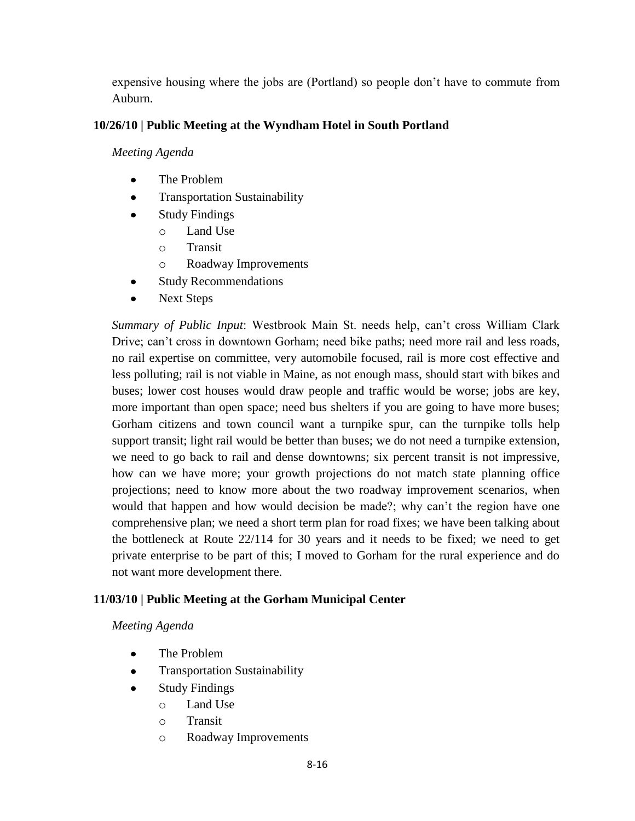expensive housing where the jobs are (Portland) so people don't have to commute from Auburn.

## **10/26/10 | Public Meeting at the Wyndham Hotel in South Portland**

*Meeting Agenda*

- The Problem  $\bullet$
- Transportation Sustainability
- $\bullet$ Study Findings
	- o Land Use
	- o Transit
	- o Roadway Improvements
- Study Recommendations  $\bullet$
- Next Steps

*Summary of Public Input*: Westbrook Main St. needs help, can't cross William Clark Drive; can't cross in downtown Gorham; need bike paths; need more rail and less roads, no rail expertise on committee, very automobile focused, rail is more cost effective and less polluting; rail is not viable in Maine, as not enough mass, should start with bikes and buses; lower cost houses would draw people and traffic would be worse; jobs are key, more important than open space; need bus shelters if you are going to have more buses; Gorham citizens and town council want a turnpike spur, can the turnpike tolls help support transit; light rail would be better than buses; we do not need a turnpike extension, we need to go back to rail and dense downtowns; six percent transit is not impressive, how can we have more; your growth projections do not match state planning office projections; need to know more about the two roadway improvement scenarios, when would that happen and how would decision be made?; why can't the region have one comprehensive plan; we need a short term plan for road fixes; we have been talking about the bottleneck at Route 22/114 for 30 years and it needs to be fixed; we need to get private enterprise to be part of this; I moved to Gorham for the rural experience and do not want more development there.

#### **11/03/10 | Public Meeting at the Gorham Municipal Center**

- The Problem
- Transportation Sustainability
- Study Findings  $\bullet$ 
	- o Land Use
	- o Transit
	- o Roadway Improvements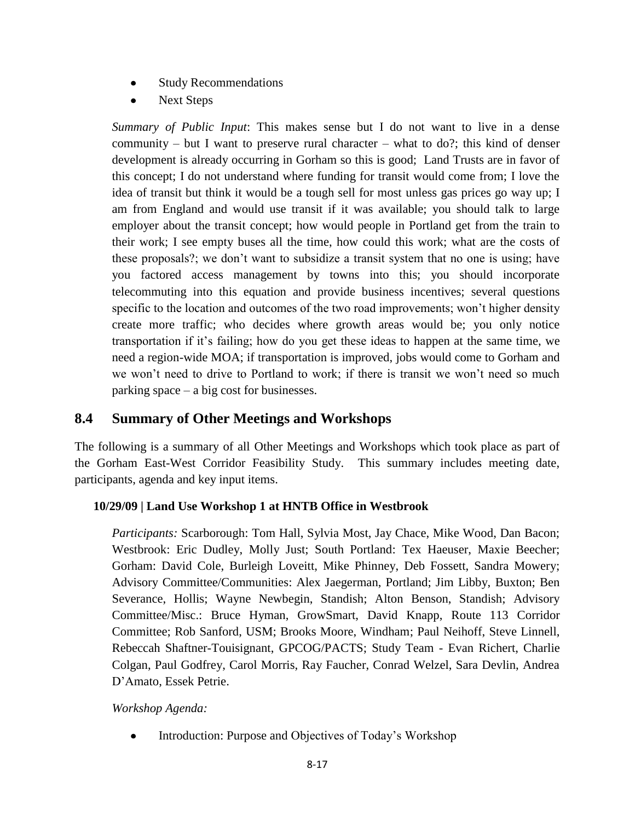- Study Recommendations  $\bullet$
- Next Steps  $\bullet$

*Summary of Public Input*: This makes sense but I do not want to live in a dense community – but I want to preserve rural character – what to do?; this kind of denser development is already occurring in Gorham so this is good; Land Trusts are in favor of this concept; I do not understand where funding for transit would come from; I love the idea of transit but think it would be a tough sell for most unless gas prices go way up; I am from England and would use transit if it was available; you should talk to large employer about the transit concept; how would people in Portland get from the train to their work; I see empty buses all the time, how could this work; what are the costs of these proposals?; we don't want to subsidize a transit system that no one is using; have you factored access management by towns into this; you should incorporate telecommuting into this equation and provide business incentives; several questions specific to the location and outcomes of the two road improvements; won't higher density create more traffic; who decides where growth areas would be; you only notice transportation if it's failing; how do you get these ideas to happen at the same time, we need a region-wide MOA; if transportation is improved, jobs would come to Gorham and we won't need to drive to Portland to work; if there is transit we won't need so much parking space – a big cost for businesses.

# **8.4 Summary of Other Meetings and Workshops**

The following is a summary of all Other Meetings and Workshops which took place as part of the Gorham East-West Corridor Feasibility Study. This summary includes meeting date, participants, agenda and key input items.

# **10/29/09 | Land Use Workshop 1 at HNTB Office in Westbrook**

*Participants:* Scarborough: Tom Hall, Sylvia Most, Jay Chace, Mike Wood, Dan Bacon; Westbrook: Eric Dudley, Molly Just; South Portland: Tex Haeuser, Maxie Beecher; Gorham: David Cole, Burleigh Loveitt, Mike Phinney, Deb Fossett, Sandra Mowery; Advisory Committee/Communities: Alex Jaegerman, Portland; Jim Libby, Buxton; Ben Severance, Hollis; Wayne Newbegin, Standish; Alton Benson, Standish; Advisory Committee/Misc.: Bruce Hyman, GrowSmart, David Knapp, Route 113 Corridor Committee; Rob Sanford, USM; Brooks Moore, Windham; Paul Neihoff, Steve Linnell, Rebeccah Shaftner-Touisignant, GPCOG/PACTS; Study Team - Evan Richert, Charlie Colgan, Paul Godfrey, Carol Morris, Ray Faucher, Conrad Welzel, Sara Devlin, Andrea D'Amato, Essek Petrie.

*Workshop Agenda:*

Introduction: Purpose and Objectives of Today's Workshop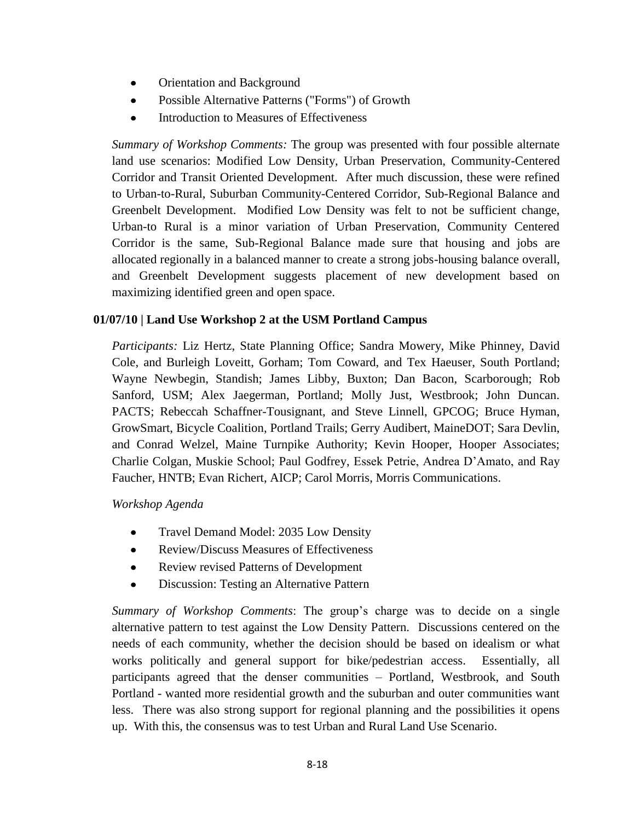- Orientation and Background  $\bullet$
- Possible Alternative Patterns ("Forms") of Growth  $\bullet$
- Introduction to Measures of Effectiveness

*Summary of Workshop Comments:* The group was presented with four possible alternate land use scenarios: Modified Low Density, Urban Preservation, Community-Centered Corridor and Transit Oriented Development. After much discussion, these were refined to Urban-to-Rural, Suburban Community-Centered Corridor, Sub-Regional Balance and Greenbelt Development. Modified Low Density was felt to not be sufficient change, Urban-to Rural is a minor variation of Urban Preservation, Community Centered Corridor is the same, Sub-Regional Balance made sure that housing and jobs are allocated regionally in a balanced manner to create a strong jobs-housing balance overall, and Greenbelt Development suggests placement of new development based on maximizing identified green and open space.

#### **01/07/10 | Land Use Workshop 2 at the USM Portland Campus**

*Participants:* Liz Hertz, State Planning Office; Sandra Mowery, Mike Phinney, David Cole, and Burleigh Loveitt, Gorham; Tom Coward, and Tex Haeuser, South Portland; Wayne Newbegin, Standish; James Libby, Buxton; Dan Bacon, Scarborough; Rob Sanford, USM; Alex Jaegerman, Portland; Molly Just, Westbrook; John Duncan. PACTS; Rebeccah Schaffner-Tousignant, and Steve Linnell, GPCOG; Bruce Hyman, GrowSmart, Bicycle Coalition, Portland Trails; Gerry Audibert, MaineDOT; Sara Devlin, and Conrad Welzel, Maine Turnpike Authority; Kevin Hooper, Hooper Associates; Charlie Colgan, Muskie School; Paul Godfrey, Essek Petrie, Andrea D'Amato, and Ray Faucher, HNTB; Evan Richert, AICP; Carol Morris, Morris Communications.

*Workshop Agenda*

- $\bullet$ Travel Demand Model: 2035 Low Density
- Review/Discuss Measures of Effectiveness  $\bullet$
- Review revised Patterns of Development  $\bullet$
- $\bullet$ Discussion: Testing an Alternative Pattern

*Summary of Workshop Comments*: The group's charge was to decide on a single alternative pattern to test against the Low Density Pattern. Discussions centered on the needs of each community, whether the decision should be based on idealism or what works politically and general support for bike/pedestrian access. Essentially, all participants agreed that the denser communities – Portland, Westbrook, and South Portland - wanted more residential growth and the suburban and outer communities want less. There was also strong support for regional planning and the possibilities it opens up. With this, the consensus was to test Urban and Rural Land Use Scenario.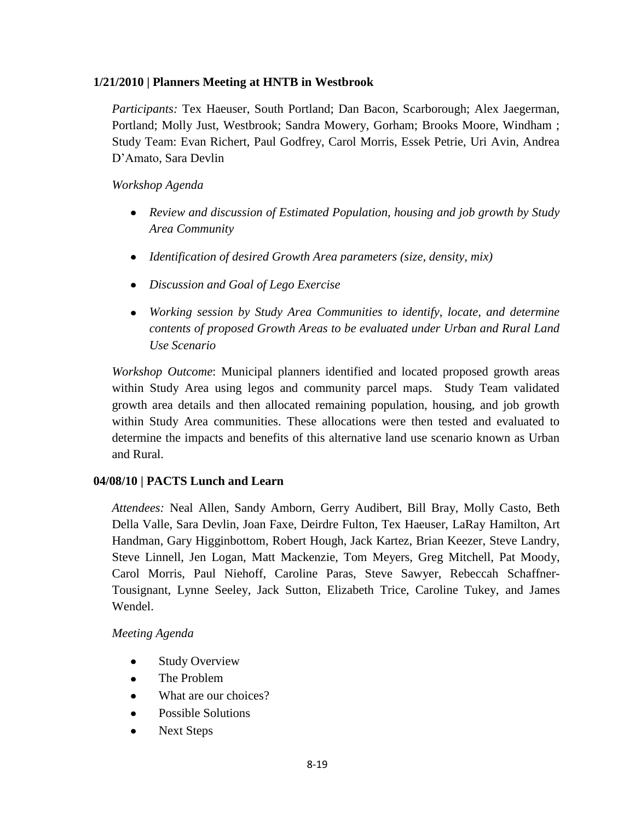## **1/21/2010 | Planners Meeting at HNTB in Westbrook**

*Participants:* Tex Haeuser, South Portland; Dan Bacon, Scarborough; Alex Jaegerman, Portland; Molly Just, Westbrook; Sandra Mowery, Gorham; Brooks Moore, Windham ; Study Team: Evan Richert, Paul Godfrey, Carol Morris, Essek Petrie, Uri Avin, Andrea D'Amato, Sara Devlin

*Workshop Agenda*

- *Review and discussion of Estimated Population, housing and job growth by Study Area Community*
- *Identification of desired Growth Area parameters (size, density, mix)*
- *Discussion and Goal of Lego Exercise*
- *Working session by Study Area Communities to identify, locate, and determine contents of proposed Growth Areas to be evaluated under Urban and Rural Land Use Scenario*

*Workshop Outcome*: Municipal planners identified and located proposed growth areas within Study Area using legos and community parcel maps. Study Team validated growth area details and then allocated remaining population, housing, and job growth within Study Area communities. These allocations were then tested and evaluated to determine the impacts and benefits of this alternative land use scenario known as Urban and Rural.

#### **04/08/10 | PACTS Lunch and Learn**

*Attendees:* Neal Allen, Sandy Amborn, Gerry Audibert, Bill Bray, Molly Casto, Beth Della Valle, Sara Devlin, Joan Faxe, Deirdre Fulton, Tex Haeuser, LaRay Hamilton, Art Handman, Gary Higginbottom, Robert Hough, Jack Kartez, Brian Keezer, Steve Landry, Steve Linnell, Jen Logan, Matt Mackenzie, Tom Meyers, Greg Mitchell, Pat Moody, Carol Morris, Paul Niehoff, Caroline Paras, Steve Sawyer, Rebeccah Schaffner-Tousignant, Lynne Seeley, Jack Sutton, Elizabeth Trice, Caroline Tukey, and James Wendel.

- Study Overview  $\bullet$
- The Problem
- What are our choices?  $\bullet$
- Possible Solutions
- Next Steps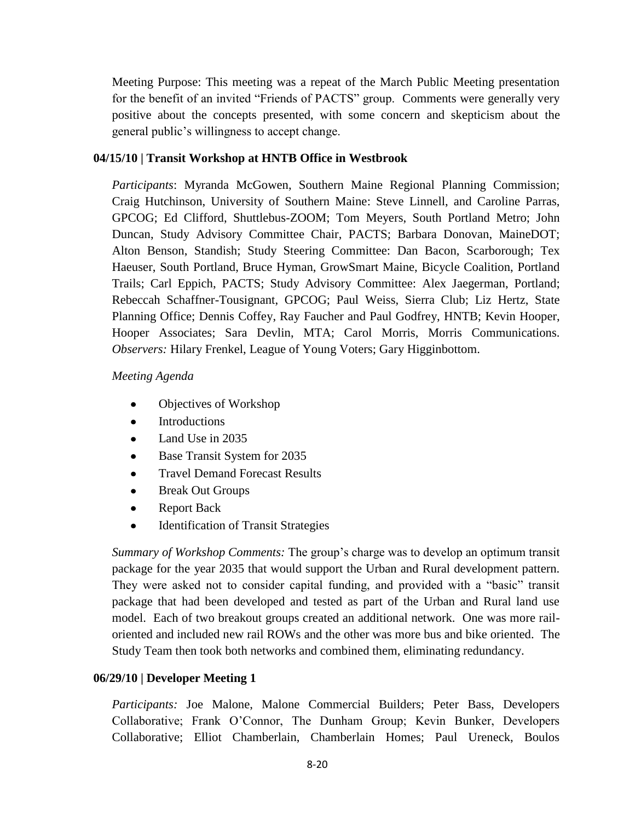Meeting Purpose: This meeting was a repeat of the March Public Meeting presentation for the benefit of an invited "Friends of PACTS" group. Comments were generally very positive about the concepts presented, with some concern and skepticism about the general public's willingness to accept change.

#### **04/15/10 | Transit Workshop at HNTB Office in Westbrook**

*Participants*: Myranda McGowen, Southern Maine Regional Planning Commission; Craig Hutchinson, University of Southern Maine: Steve Linnell, and Caroline Parras, GPCOG; Ed Clifford, Shuttlebus-ZOOM; Tom Meyers, South Portland Metro; John Duncan, Study Advisory Committee Chair, PACTS; Barbara Donovan, MaineDOT; Alton Benson, Standish; Study Steering Committee: Dan Bacon, Scarborough; Tex Haeuser, South Portland, Bruce Hyman, GrowSmart Maine, Bicycle Coalition, Portland Trails; Carl Eppich, PACTS; Study Advisory Committee: Alex Jaegerman, Portland; Rebeccah Schaffner-Tousignant, GPCOG; Paul Weiss, Sierra Club; Liz Hertz, State Planning Office; Dennis Coffey, Ray Faucher and Paul Godfrey, HNTB; Kevin Hooper, Hooper Associates; Sara Devlin, MTA; Carol Morris, Morris Communications. *Observers:* Hilary Frenkel, League of Young Voters; Gary Higginbottom.

#### *Meeting Agenda*

- Objectives of Workshop  $\bullet$
- Introductions  $\bullet$
- Land Use in 2035
- Base Transit System for 2035  $\bullet$
- Travel Demand Forecast Results
- Break Out Groups
- Report Back  $\bullet$
- $\bullet$ Identification of Transit Strategies

*Summary of Workshop Comments:* The group's charge was to develop an optimum transit package for the year 2035 that would support the Urban and Rural development pattern. They were asked not to consider capital funding, and provided with a "basic" transit package that had been developed and tested as part of the Urban and Rural land use model. Each of two breakout groups created an additional network. One was more railoriented and included new rail ROWs and the other was more bus and bike oriented. The Study Team then took both networks and combined them, eliminating redundancy.

#### **06/29/10 | Developer Meeting 1**

*Participants:* Joe Malone, Malone Commercial Builders; Peter Bass, Developers Collaborative; Frank O'Connor, The Dunham Group; Kevin Bunker, Developers Collaborative; Elliot Chamberlain, Chamberlain Homes; Paul Ureneck, Boulos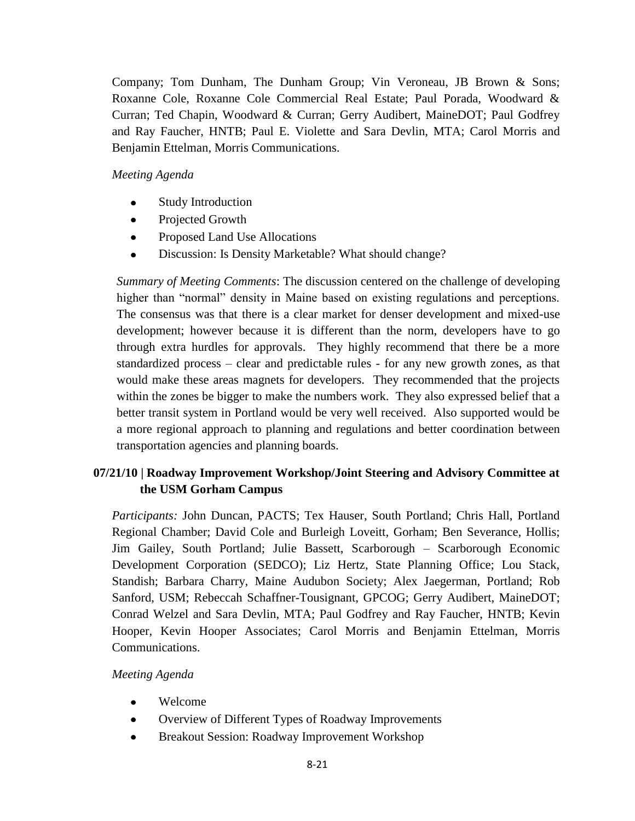Company; Tom Dunham, The Dunham Group; Vin Veroneau, JB Brown & Sons; Roxanne Cole, Roxanne Cole Commercial Real Estate; Paul Porada, Woodward & Curran; Ted Chapin, Woodward & Curran; Gerry Audibert, MaineDOT; Paul Godfrey and Ray Faucher, HNTB; Paul E. Violette and Sara Devlin, MTA; Carol Morris and Benjamin Ettelman, Morris Communications.

#### *Meeting Agenda*

- Study Introduction  $\bullet$
- Projected Growth  $\bullet$
- Proposed Land Use Allocations  $\bullet$
- Discussion: Is Density Marketable? What should change?

*Summary of Meeting Comments*: The discussion centered on the challenge of developing higher than "normal" density in Maine based on existing regulations and perceptions. The consensus was that there is a clear market for denser development and mixed-use development; however because it is different than the norm, developers have to go through extra hurdles for approvals. They highly recommend that there be a more standardized process – clear and predictable rules - for any new growth zones, as that would make these areas magnets for developers. They recommended that the projects within the zones be bigger to make the numbers work. They also expressed belief that a better transit system in Portland would be very well received. Also supported would be a more regional approach to planning and regulations and better coordination between transportation agencies and planning boards.

# **07/21/10 | Roadway Improvement Workshop/Joint Steering and Advisory Committee at the USM Gorham Campus**

*Participants:* John Duncan, PACTS; Tex Hauser, South Portland; Chris Hall, Portland Regional Chamber; David Cole and Burleigh Loveitt, Gorham; Ben Severance, Hollis; Jim Gailey, South Portland; Julie Bassett, Scarborough – Scarborough Economic Development Corporation (SEDCO); Liz Hertz, State Planning Office; Lou Stack, Standish; Barbara Charry, Maine Audubon Society; Alex Jaegerman, Portland; Rob Sanford, USM; Rebeccah Schaffner-Tousignant, GPCOG; Gerry Audibert, MaineDOT; Conrad Welzel and Sara Devlin, MTA; Paul Godfrey and Ray Faucher, HNTB; Kevin Hooper, Kevin Hooper Associates; Carol Morris and Benjamin Ettelman, Morris Communications.

- Welcome  $\bullet$
- Overview of Different Types of Roadway Improvements  $\bullet$
- Breakout Session: Roadway Improvement Workshop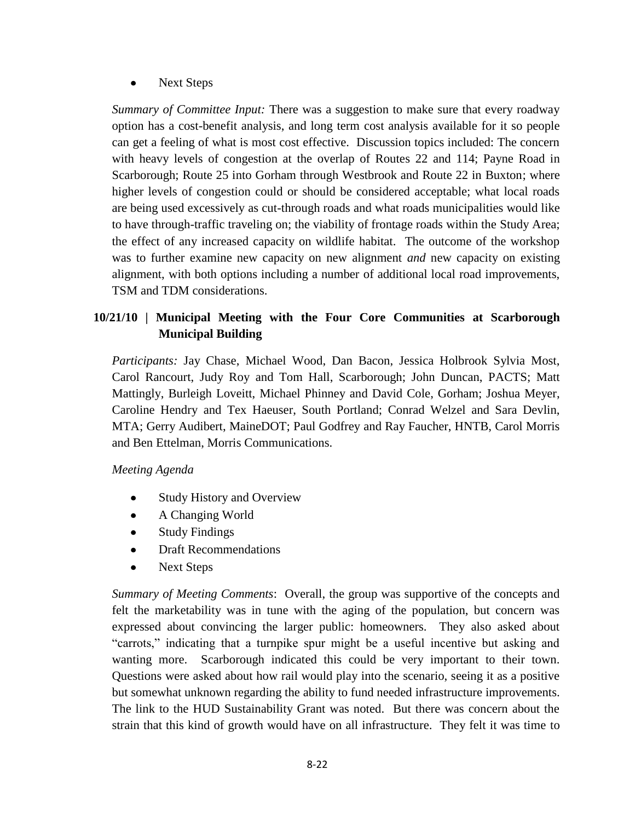$\bullet$ Next Steps

*Summary of Committee Input:* There was a suggestion to make sure that every roadway option has a cost-benefit analysis, and long term cost analysis available for it so people can get a feeling of what is most cost effective. Discussion topics included: The concern with heavy levels of congestion at the overlap of Routes 22 and 114; Payne Road in Scarborough; Route 25 into Gorham through Westbrook and Route 22 in Buxton; where higher levels of congestion could or should be considered acceptable; what local roads are being used excessively as cut-through roads and what roads municipalities would like to have through-traffic traveling on; the viability of frontage roads within the Study Area; the effect of any increased capacity on wildlife habitat. The outcome of the workshop was to further examine new capacity on new alignment *and* new capacity on existing alignment, with both options including a number of additional local road improvements, TSM and TDM considerations.

# **10/21/10 | Municipal Meeting with the Four Core Communities at Scarborough Municipal Building**

*Participants:* Jay Chase, Michael Wood, Dan Bacon, Jessica Holbrook Sylvia Most, Carol Rancourt, Judy Roy and Tom Hall, Scarborough; John Duncan, PACTS; Matt Mattingly, Burleigh Loveitt, Michael Phinney and David Cole, Gorham; Joshua Meyer, Caroline Hendry and Tex Haeuser, South Portland; Conrad Welzel and Sara Devlin, MTA; Gerry Audibert, MaineDOT; Paul Godfrey and Ray Faucher, HNTB, Carol Morris and Ben Ettelman, Morris Communications.

#### *Meeting Agenda*

- Study History and Overview
- A Changing World
- Study Findings  $\bullet$
- Draft Recommendations
- Next Steps  $\bullet$

*Summary of Meeting Comments*: Overall, the group was supportive of the concepts and felt the marketability was in tune with the aging of the population, but concern was expressed about convincing the larger public: homeowners. They also asked about "carrots," indicating that a turnpike spur might be a useful incentive but asking and wanting more. Scarborough indicated this could be very important to their town. Questions were asked about how rail would play into the scenario, seeing it as a positive but somewhat unknown regarding the ability to fund needed infrastructure improvements. The link to the HUD Sustainability Grant was noted. But there was concern about the strain that this kind of growth would have on all infrastructure. They felt it was time to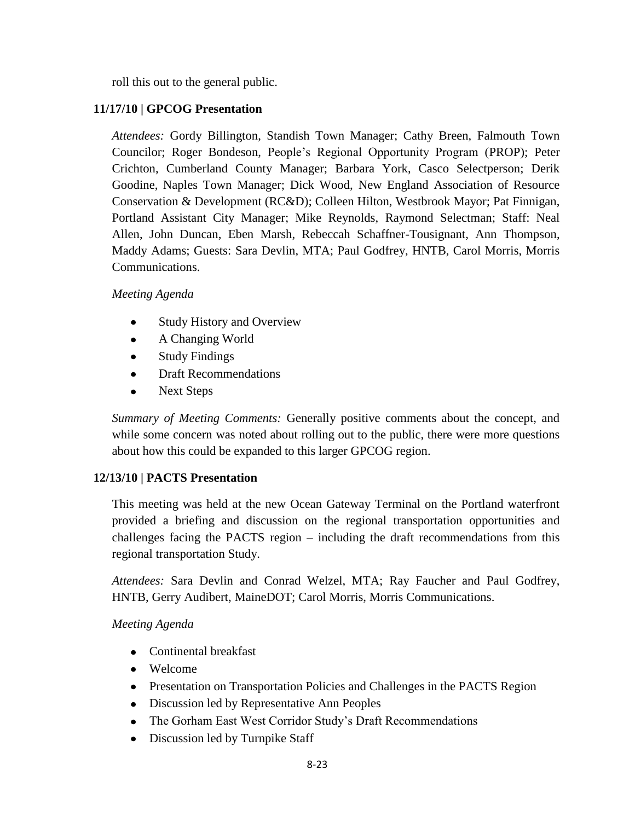roll this out to the general public.

## **11/17/10 | GPCOG Presentation**

*Attendees:* Gordy Billington, Standish Town Manager; Cathy Breen, Falmouth Town Councilor; Roger Bondeson, People's Regional Opportunity Program (PROP); Peter Crichton, Cumberland County Manager; Barbara York, Casco Selectperson; Derik Goodine, Naples Town Manager; Dick Wood, New England Association of Resource Conservation & Development (RC&D); Colleen Hilton, Westbrook Mayor; Pat Finnigan, Portland Assistant City Manager; Mike Reynolds, Raymond Selectman; Staff: Neal Allen, John Duncan, Eben Marsh, Rebeccah Schaffner-Tousignant, Ann Thompson, Maddy Adams; Guests: Sara Devlin, MTA; Paul Godfrey, HNTB, Carol Morris, Morris Communications.

#### *Meeting Agenda*

- Study History and Overview  $\bullet$
- A Changing World
- $\bullet$ Study Findings
- Draft Recommendations
- Next Steps

*Summary of Meeting Comments:* Generally positive comments about the concept, and while some concern was noted about rolling out to the public, there were more questions about how this could be expanded to this larger GPCOG region.

#### **12/13/10 | PACTS Presentation**

This meeting was held at the new Ocean Gateway Terminal on the Portland waterfront provided a briefing and discussion on the regional transportation opportunities and challenges facing the PACTS region – including the draft recommendations from this regional transportation Study.

*Attendees:* Sara Devlin and Conrad Welzel, MTA; Ray Faucher and Paul Godfrey, HNTB, Gerry Audibert, MaineDOT; Carol Morris, Morris Communications.

- Continental breakfast
- Welcome
- Presentation on Transportation Policies and Challenges in the PACTS Region
- Discussion led by Representative Ann Peoples
- The Gorham East West Corridor Study's Draft Recommendations
- Discussion led by Turnpike Staff